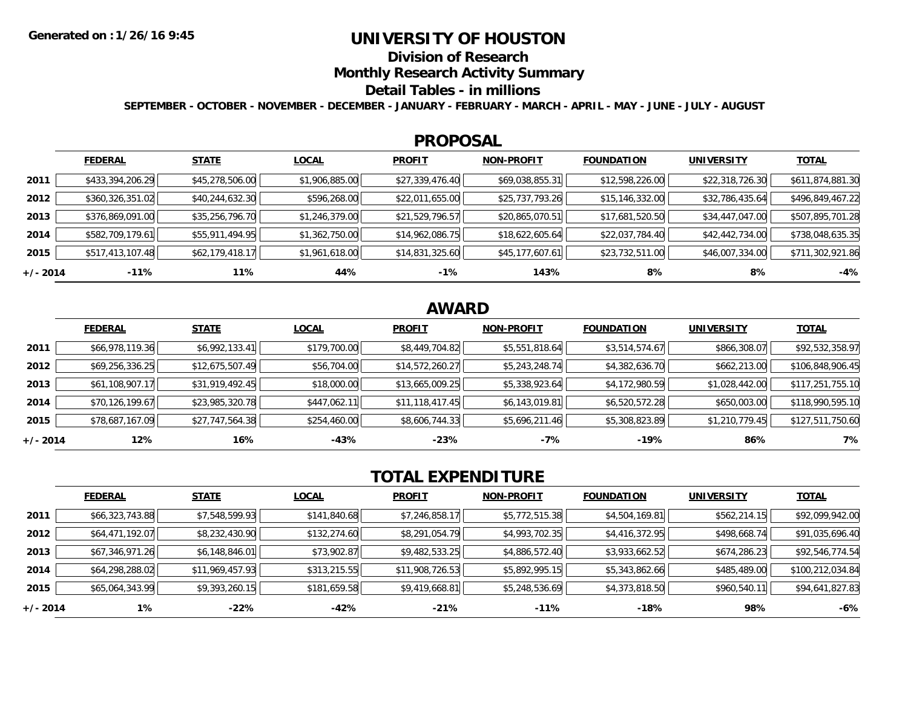# **UNIVERSITY OF HOUSTON**

**Division of Research**

**Monthly Research Activity Summary**

#### **Detail Tables - in millions**

**SEPTEMBER - OCTOBER - NOVEMBER - DECEMBER - JANUARY - FEBRUARY - MARCH - APRIL - MAY - JUNE - JULY - AUGUST**

### **PROPOSAL**

|            | <b>FEDERAL</b>   | <b>STATE</b>    | <b>LOCAL</b>   | <b>PROFIT</b>   | <b>NON-PROFIT</b> | <b>FOUNDATION</b> | <b>UNIVERSITY</b> | <b>TOTAL</b>     |
|------------|------------------|-----------------|----------------|-----------------|-------------------|-------------------|-------------------|------------------|
| 2011       | \$433,394,206.29 | \$45,278,506.00 | \$1,906,885.00 | \$27,339,476.40 | \$69,038,855.31   | \$12,598,226.00   | \$22,318,726.30   | \$611,874,881.30 |
| 2012       | \$360,326,351.02 | \$40,244,632.30 | \$596,268.00   | \$22,011,655.00 | \$25,737,793.26   | \$15,146,332.00   | \$32,786,435.64   | \$496,849,467.22 |
| 2013       | \$376,869,091.00 | \$35,256,796.70 | \$1,246,379.00 | \$21,529,796.57 | \$20,865,070.51   | \$17,681,520.50   | \$34,447,047.00   | \$507,895,701.28 |
| 2014       | \$582,709,179.61 | \$55,911,494.95 | \$1,362,750.00 | \$14,962,086.75 | \$18,622,605.64   | \$22,037,784.40   | \$42,442,734.00   | \$738,048,635.35 |
| 2015       | \$517,413,107.48 | \$62,179,418.17 | \$1,961,618.00 | \$14,831,325.60 | \$45,177,607.61   | \$23,732,511.00   | \$46,007,334.00   | \$711,302,921.86 |
| $+/- 2014$ | -11%             | 11%             | 44%            | $-1%$           | 143%              | 8%                | 8%                | $-4%$            |

# **AWARD**

|            | <b>FEDERAL</b>  | <b>STATE</b>    | <b>LOCAL</b> | <b>PROFIT</b>   | <b>NON-PROFIT</b> | <b>FOUNDATION</b> | <b>UNIVERSITY</b> | <u>TOTAL</u>     |
|------------|-----------------|-----------------|--------------|-----------------|-------------------|-------------------|-------------------|------------------|
| 2011       | \$66,978,119.36 | \$6,992,133.41  | \$179,700.00 | \$8,449,704.82  | \$5,551,818.64    | \$3,514,574.67    | \$866,308.07      | \$92,532,358.97  |
| 2012       | \$69,256,336.25 | \$12,675,507.49 | \$56,704.00  | \$14,572,260.27 | \$5,243,248.74    | \$4,382,636.70    | \$662,213.00      | \$106,848,906.45 |
| 2013       | \$61,108,907.17 | \$31,919,492.45 | \$18,000.00  | \$13,665,009.25 | \$5,338,923.64    | \$4,172,980.59    | \$1,028,442.00    | \$117,251,755.10 |
| 2014       | \$70,126,199.67 | \$23,985,320.78 | \$447,062.11 | \$11,118,417.45 | \$6,143,019.81    | \$6,520,572.28    | \$650,003.00      | \$118,990,595.10 |
| 2015       | \$78,687,167.09 | \$27,747,564.38 | \$254,460.00 | \$8,606,744.33  | \$5,696,211.46    | \$5,308,823.89    | \$1,210,779.45    | \$127,511,750.60 |
| $+/- 2014$ | 12%             | 16%             | $-43%$       | $-23%$          | $-7%$             | $-19%$            | 86%               | 7%               |

# **TOTAL EXPENDITURE**

|            | <b>FEDERAL</b>  | <b>STATE</b>    | <b>LOCAL</b> | <b>PROFIT</b>   | <b>NON-PROFIT</b> | <b>FOUNDATION</b> | <b>UNIVERSITY</b> | <b>TOTAL</b>     |
|------------|-----------------|-----------------|--------------|-----------------|-------------------|-------------------|-------------------|------------------|
| 2011       | \$66,323,743.88 | \$7,548,599.93  | \$141,840.68 | \$7,246,858.17  | \$5,772,515.38    | \$4,504,169.81    | \$562,214.15      | \$92,099,942.00  |
| 2012       | \$64,471,192.07 | \$8,232,430.90  | \$132,274.60 | \$8,291,054.79  | \$4,993,702.35    | \$4,416,372.95    | \$498,668.74      | \$91,035,696.40  |
| 2013       | \$67,346,971.26 | \$6,148,846.01  | \$73,902.87  | \$9,482,533.25  | \$4,886,572.40    | \$3,933,662.52    | \$674,286.23      | \$92,546,774.54  |
| 2014       | \$64,298,288.02 | \$11,969,457.93 | \$313,215.55 | \$11,908,726.53 | \$5,892,995.15    | \$5,343,862.66    | \$485,489.00      | \$100,212,034.84 |
| 2015       | \$65,064,343.99 | \$9,393,260.15  | \$181,659.58 | \$9,419,668.81  | \$5,248,536.69    | \$4,373,818.50    | \$960,540.11      | \$94,641,827.83  |
| $+/- 2014$ | $1\%$           | $-22%$          | -42%         | $-21%$          | $-11%$            | $-18%$            | 98%               | $-6%$            |